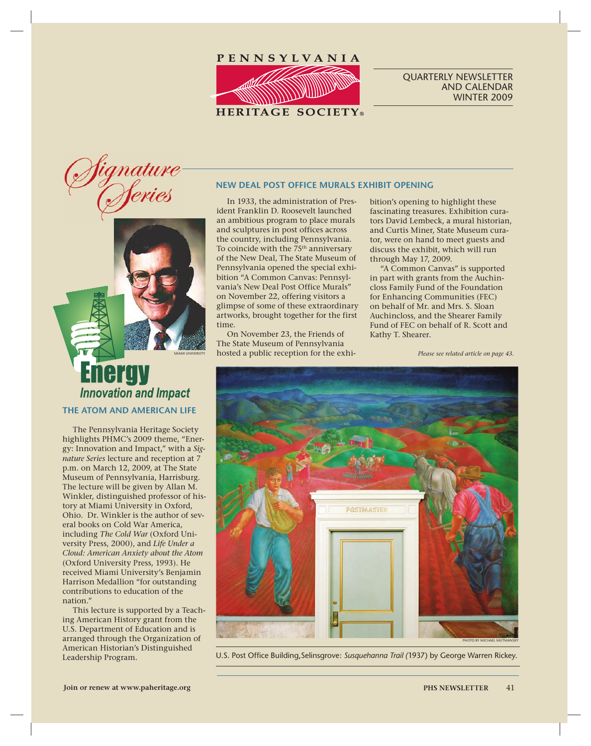

### QUARTERLY NEWSLETTER AND CALENDAR WINTER 2009



# ergy **Innovation and Impact**

# **THE ATOM AND AMERICAN LIFE**

The Pennsylvania Heritage Society highlights PHMC's 2009 theme, "Energy: Innovation and Impact," with a *Signature Series* lecture and reception at 7 p.m. on March 12, 2009, at The State Museum of Pennsylvania, Harrisburg. The lecture will be given by Allan M. Winkler, distinguished professor of history at Miami University in Oxford, Ohio. Dr. Winkler is the author of several books on Cold War America, including *The Cold War* (Oxford University Press, 2000), and *Life Under a Cloud: American Anxiety about the Atom* (Oxford University Press, 1993). He received Miami University's Benjamin Harrison Medallion "for outstanding contributions to education of the nation."

This lecture is supported by a Teaching American History grant from the U.S. Department of Education and is arranged through the Organization of American Historian's Distinguished Leadership Program.

### **NEW DEAL POST OFFICE MURALS EXHIBIT OPENING**

In 1933, the administration of President Franklin D. Roosevelt launched an ambitious program to place murals and sculptures in post offices across the country, including Pennsylvania. To coincide with the 75<sup>th</sup> anniversary of the New Deal, The State Museum of Pennsylvania opened the special exhibition "A Common Canvas: Pennsylvania's New Deal Post Office Murals" on November 22, offering visitors a glimpse of some of these extraordinary artworks, brought together for the first time.

On November 23, the Friends of The State Museum of Pennsylvania hosted a public reception for the exhibition's opening to highlight these fascinating treasures. Exhibition curators David Lembeck, a mural historian, and Curtis Miner, State Museum curator, were on hand to meet guests and discuss the exhibit, which will run through May 17, 2009.

"A Common Canvas" is supported in part with grants from the Auchincloss Family Fund of the Foundation for Enhancing Communities (FEC) on behalf of Mr. and Mrs. S. Sloan Auchincloss, and the Shearer Family Fund of FEC on behalf of R. Scott and Kathy T. Shearer.

*Please see related article on page 43.*



U.S. Post Office Building, Selinsgrove: Susquehanna Trail (1937) by George Warren Rickey.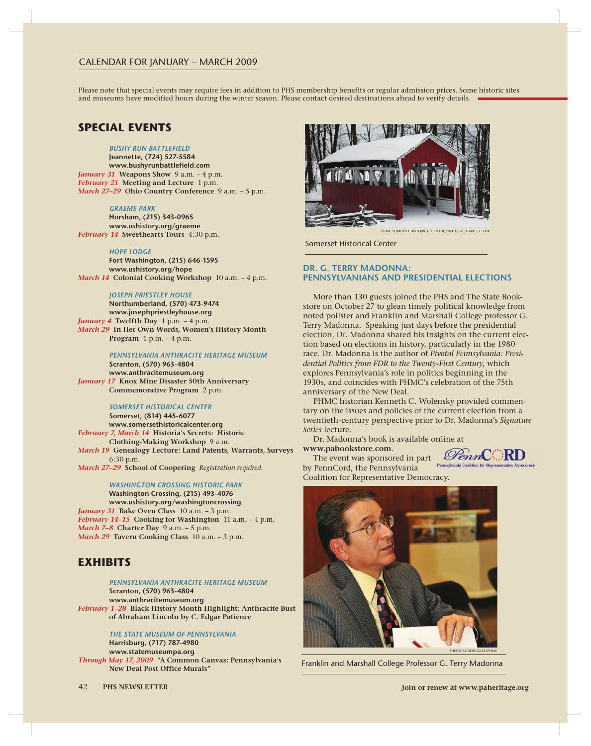# CALENDAR FOR JANUARY – MARCH 2009

Please note that special events may require fees in addition to PHS membership benefits or regular admission prices. Some historic sites and museums have modified hours during the winter season. Please contact desired destinations ahead to verify details.

# **SPECIAL EVENTS**

#### *BUSHY RUN BATTLEFIELD*

**Jeannette, (724) 527-5584 www.bushyrunbattlefield.com** *January 31* **Weapons Show** 9 a.m. – 4 p.m. *February 21* **Meeting and Lecture** 1 p.m. *March 27–29* **Ohio Country Conference** 9 a.m. – 5 p.m.

#### *GRAEME PARK*

**Horsham, (215) 343-0965 www.ushistory.org/graeme** *February 14* **Sweethearts Tours** 4:30 p.m.

#### *HOPE LODGE*

**Fort Washington, (215) 646-1595 www.ushistory.org/hope** *March 14* **Colonial Cooking Workshop** 10 a.m. – 4 p.m.

#### *JOSEPH PRIESTLEY HOUSE*

**Northumberland, (570) 473-9474 www.josephpriestleyhouse.org** *January 4* **Twelfth Day** 1 p.m. – 4 p.m. *March 29* **In Her Own Words, Women's History Month Program** 1 p.m. – 4 p.m.

### *PENNSYLVANIA ANTHRACITE HERITAGE MUSEUM*

**Scranton, (570) 963-4804 www.anthracitemuseum.org** *January 17* **Knox Mine Disaster 50th Anniversary Commemorative Program** 2 p.m.

#### *SOMERSET HISTORICAL CENTER*

**Somerset, (814) 445-6077 www.somersethistoricalcenter.org** *February 7, March 14* **Historia's Secrets: Historic Clothing-Making Workshop** 9 a.m. *March 19* **Genealogy Lecture: Land Patents, Warrants, Surveys** 6:30 p.m. *March 27–29* **School of Coopering** *Registration required.*

#### *WASHINGTON CROSSING HISTORIC PARK*

**Washington Crossing, (215) 493-4076 www.ushistory.org/washingtoncrossing** *January 31* **Bake Oven Class** 10 a.m. – 3 p.m. *February 14–15* **Cooking for Washington** 11 a.m. – 4 p.m. *March 7–8* **Charter Day** 9 a.m. – 5 p.m. *March 29* **Tavern Cooking Class** 10 a.m. – 3 p.m.

# **EXHIBITS**

#### *PENNSYLVANIA ANTHRACITE HERITAGE MUSEUM*

**Scranton, (570) 963-4804 www.anthracitemuseum.org** *February 1–28* **Black History Month Highlight: Anthracite Bust of Abraham Lincoln by C. Edgar Patience**

> *THE STATE MUSEUM OF PENNSYLVANIA* **Harrisburg, (717) 787-4980 www.statemuseumpa.org**

*Through May 17, 2009* "**A Common Canvas: Pennsylvania's New Deal Post Office Murals"**



Somerset Historical Center

### **DR. G. TERRY MADONNA: PENNSYLVANIANS AND PRESIDENTIAL ELECTIONS**

More than 130 guests joined the PHS and The State Bookstore on October 27 to glean timely political knowledge from noted pollster and Franklin and Marshall College professor G. Terry Madonna. Speaking just days before the presidential election, Dr. Madonna shared his insights on the current election based on elections in history, particularly in the 1980 race. Dr. Madonna is the author of *Pivotal Pennsylvania: Presidential Politics from FDR to the Twenty-First Century*, which explores Pennsylvania's role in politics beginning in the 1930s, and coincides with PHMC's celebration of the 75th anniversary of the New Deal.

PHMC historian Kenneth C. Wolensky provided commentary on the issues and policies of the current election from a twentieth-century perspective prior to Dr. Madonna's *Signature Series* lecture.

Dr. Madonna's book is available online at **www.pabookstore.com**.

The event was sponsored in part

by PennCord, the Pennsylvania Coalition for Representative Democracy.





Franklin and Marshall College Professor G. Terry Madonna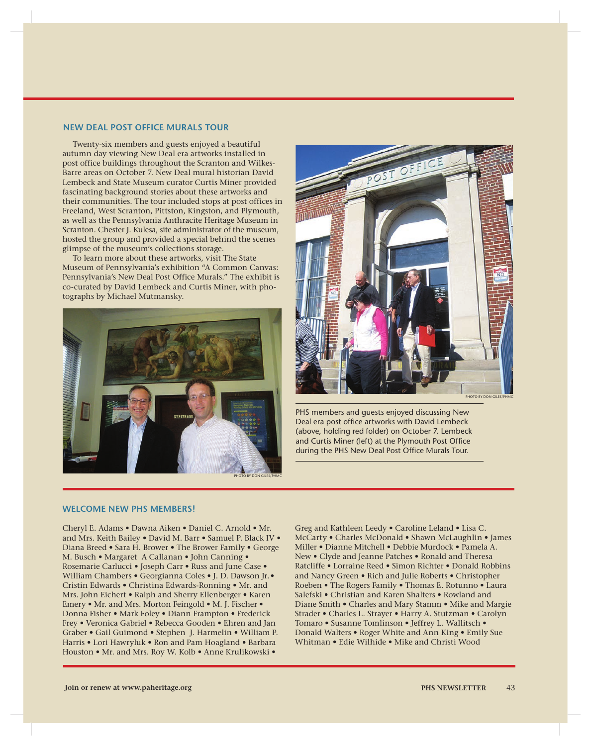#### **NEW DEAL POST OFFICE MURALS TOUR**

Twenty-six members and guests enjoyed a beautiful autumn day viewing New Deal era artworks installed in post office buildings throughout the Scranton and Wilkes-Barre areas on October 7. New Deal mural historian David Lembeck and State Museum curator Curtis Miner provided fascinating background stories about these artworks and their communities. The tour included stops at post offices in Freeland, West Scranton, Pittston, Kingston, and Plymouth, as well as the Pennsylvania Anthracite Heritage Museum in Scranton. Chester J. Kulesa, site administrator of the museum, hosted the group and provided a special behind the scenes glimpse of the museum's collections storage.

To learn more about these artworks, visit The State Museum of Pennsylvania's exhibition "A Common Canvas: Pennsylvania's New Deal Post Office Murals." The exhibit is co-curated by David Lembeck and Curtis Miner, with photographs by Michael Mutmansky.





PHS members and guests enjoyed discussing New Deal era post office artworks with David Lembeck (above, holding red folder) on October 7. Lembeck and Curtis Miner (left) at the Plymouth Post Office during the PHS New Deal Post Office Murals Tour.

#### **WELCOME NEW PHS MEMBERS!**

Cheryl E. Adams • Dawna Aiken • Daniel C. Arnold • Mr. and Mrs. Keith Bailey • David M. Barr • Samuel P. Black IV • Diana Breed • Sara H. Brower • The Brower Family • George M. Busch • Margaret A Callanan • John Canning • Rosemarie Carlucci • Joseph Carr • Russ and June Case • William Chambers • Georgianna Coles • J. D. Dawson Jr.• Cristin Edwards • Christina Edwards-Ronning • Mr. and Mrs. John Eichert • Ralph and Sherry Ellenberger • Karen Emery • Mr. and Mrs. Morton Feingold • M. J. Fischer • Donna Fisher • Mark Foley • Diann Frampton • Frederick Frey • Veronica Gabriel • Rebecca Gooden • Ehren and Jan Graber • Gail Guimond • Stephen J. Harmelin • William P. Harris • Lori Hawryluk • Ron and Pam Hoagland • Barbara Houston • Mr. and Mrs. Roy W. Kolb • Anne Krulikowski •

Greg and Kathleen Leedy • Caroline Leland • Lisa C. McCarty • Charles McDonald • Shawn McLaughlin • James Miller • Dianne Mitchell • Debbie Murdock • Pamela A. New • Clyde and Jeanne Patches • Ronald and Theresa Ratcliffe • Lorraine Reed • Simon Richter • Donald Robbins and Nancy Green • Rich and Julie Roberts • Christopher Roeben • The Rogers Family • Thomas E. Rotunno • Laura Salefski • Christian and Karen Shalters • Rowland and Diane Smith • Charles and Mary Stamm • Mike and Margie Strader • Charles L. Strayer • Harry A. Stutzman • Carolyn Tomaro • Susanne Tomlinson • Jeffrey L. Wallitsch • Donald Walters • Roger White and Ann King • Emily Sue Whitman • Edie Wilhide • Mike and Christi Wood